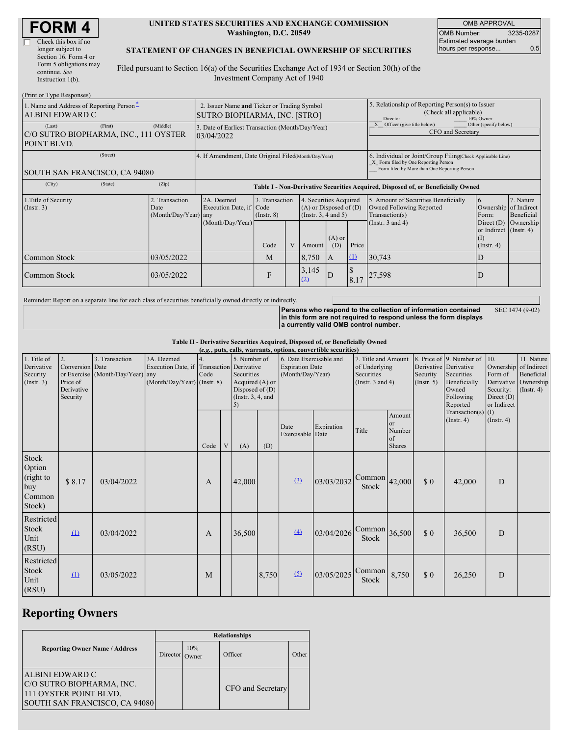| <b>FORM4</b> |  |
|--------------|--|
|--------------|--|

| Check this box if no   |
|------------------------|
| longer subject to      |
| Section 16. Form 4 or  |
| Form 5 obligations may |
| continue. See          |
| Instruction 1(b).      |

#### **UNITED STATES SECURITIES AND EXCHANGE COMMISSION Washington, D.C. 20549**

OMB APPROVAL OMB Number: 3235-0287 Estimated average burden hours per response... 0.5

#### **STATEMENT OF CHANGES IN BENEFICIAL OWNERSHIP OF SECURITIES**

Filed pursuant to Section 16(a) of the Securities Exchange Act of 1934 or Section 30(h) of the Investment Company Act of 1940

| (Print or Type Responses)                                      |         |                                                                             |                                                                                  |                                   |  |                                                                              |                                                                                                     |                                                                                                                                                    |                                                                                                             |                                                      |                                      |  |
|----------------------------------------------------------------|---------|-----------------------------------------------------------------------------|----------------------------------------------------------------------------------|-----------------------------------|--|------------------------------------------------------------------------------|-----------------------------------------------------------------------------------------------------|----------------------------------------------------------------------------------------------------------------------------------------------------|-------------------------------------------------------------------------------------------------------------|------------------------------------------------------|--------------------------------------|--|
| 1. Name and Address of Reporting Person-<br>ALBINI EDWARD C    |         | 2. Issuer Name and Ticker or Trading Symbol<br>SUTRO BIOPHARMA, INC. [STRO] |                                                                                  |                                   |  |                                                                              | 5. Relationship of Reporting Person(s) to Issuer<br>(Check all applicable)<br>10% Owner<br>Director |                                                                                                                                                    |                                                                                                             |                                                      |                                      |  |
| (Last)<br>C/O SUTRO BIOPHARMA, INC., 111 OYSTER<br>POINT BLVD. | (First) | (Middle)                                                                    | 3. Date of Earliest Transaction (Month/Day/Year)<br>03/04/2022                   |                                   |  |                                                                              |                                                                                                     |                                                                                                                                                    | Other (specify below)<br>Officer (give title below)<br>CFO and Secretary                                    |                                                      |                                      |  |
| (Street)<br>SOUTH SAN FRANCISCO, CA 94080                      |         |                                                                             | 4. If Amendment, Date Original Filed Month/Day/Year)                             |                                   |  |                                                                              |                                                                                                     | 6. Individual or Joint/Group Filing Check Applicable Line)<br>X Form filed by One Reporting Person<br>Form filed by More than One Reporting Person |                                                                                                             |                                                      |                                      |  |
| (City)                                                         | (State) | (Zip)                                                                       | Table I - Non-Derivative Securities Acquired, Disposed of, or Beneficially Owned |                                   |  |                                                                              |                                                                                                     |                                                                                                                                                    |                                                                                                             |                                                      |                                      |  |
| 1. Title of Security<br>(Insert. 3)                            |         | 2. Transaction<br>Date<br>(Month/Day/Year) any                              | 2A. Deemed<br>Execution Date, if Code<br>(Month/Day/Year)                        | 3. Transaction<br>$($ Instr. $8)$ |  | 4. Securities Acquired<br>$(A)$ or Disposed of $(D)$<br>(Insert. 3, 4 and 5) |                                                                                                     |                                                                                                                                                    | 5. Amount of Securities Beneficially<br>Owned Following Reported<br>Transaction(s)<br>(Instr. $3$ and $4$ ) | 6.<br>Ownership of Indirect<br>Form:<br>Direct $(D)$ | 7. Nature<br>Beneficial<br>Ownership |  |
|                                                                |         |                                                                             |                                                                                  | Code                              |  | Amount                                                                       | $(A)$ or<br>(D)                                                                                     | Price                                                                                                                                              |                                                                                                             | or Indirect (Instr. 4)<br>(1)<br>$($ Instr. 4 $)$    |                                      |  |
| Common Stock                                                   |         | 03/05/2022                                                                  |                                                                                  | M                                 |  | 8,750                                                                        | A                                                                                                   | $\Omega$                                                                                                                                           | 30,743                                                                                                      | D                                                    |                                      |  |
| Common Stock                                                   |         | 03/05/2022                                                                  |                                                                                  | F                                 |  | 3,145<br>(2)                                                                 | D                                                                                                   | 8.17                                                                                                                                               | 27,598                                                                                                      | D                                                    |                                      |  |

Reminder: Report on a separate line for each class of securities beneficially owned directly or indirectly.

**Persons who respond to the collection of information contained in this form are not required to respond unless the form displays a currently valid OMB control number.** SEC 1474 (9-02)

**Table II - Derivative Securities Acquired, Disposed of, or Beneficially Owned**

| (e.g., puts, calls, warrants, options, convertible securities) |                                                             |                                                    |                                                                                        |              |   |                                                                                          |       |                                                                       |            |                                                                             |                                               |                         |                                                                                                                   |                                                            |                                                                                          |
|----------------------------------------------------------------|-------------------------------------------------------------|----------------------------------------------------|----------------------------------------------------------------------------------------|--------------|---|------------------------------------------------------------------------------------------|-------|-----------------------------------------------------------------------|------------|-----------------------------------------------------------------------------|-----------------------------------------------|-------------------------|-------------------------------------------------------------------------------------------------------------------|------------------------------------------------------------|------------------------------------------------------------------------------------------|
| 1. Title of<br>Derivative<br>Security<br>(Insert. 3)           | 2.<br>Conversion Date<br>Price of<br>Derivative<br>Security | 3. Transaction<br>or Exercise (Month/Day/Year) any | 3A. Deemed<br>Execution Date, if Transaction Derivative<br>(Month/Day/Year) (Instr. 8) | Code         |   | 5. Number of<br>Securities<br>Acquired (A) or<br>Disposed of (D)<br>(Instr. $3, 4$ , and |       | 6. Date Exercisable and<br><b>Expiration Date</b><br>(Month/Day/Year) |            | 7. Title and Amount<br>of Underlying<br>Securities<br>(Instr. $3$ and $4$ ) |                                               | Security<br>(Insert. 5) | 8. Price of 9. Number of<br>Derivative Derivative<br>Securities<br>Beneficially<br>Owned<br>Following<br>Reported | 10.<br>Form of<br>Security:<br>Direct $(D)$<br>or Indirect | 11. Nature<br>Ownership of Indirect<br>Beneficial<br>Derivative Ownership<br>(Insert. 4) |
|                                                                |                                                             |                                                    |                                                                                        | Code         | V | (A)                                                                                      | (D)   | Date<br>Exercisable Date                                              | Expiration | Title                                                                       | Amount<br>or<br>Number<br>of<br><b>Shares</b> |                         | Transaction(s) $(I)$<br>$($ Instr. 4 $)$                                                                          | $($ Instr. 4 $)$                                           |                                                                                          |
| Stock<br>Option<br>(right to<br>buy<br>Common<br>Stock)        | \$8.17                                                      | 03/04/2022                                         |                                                                                        | $\mathbf{A}$ |   | 42,000                                                                                   |       | $\left(3\right)$                                                      | 03/03/2032 | Common<br><b>Stock</b>                                                      | 42,000                                        | \$0                     | 42,000                                                                                                            | D                                                          |                                                                                          |
| Restricted<br>Stock<br>Unit<br>(RSU)                           | $\Omega$                                                    | 03/04/2022                                         |                                                                                        | A            |   | 36,500                                                                                   |       | (4)                                                                   | 03/04/2026 | $\lfloor$ Common $\rfloor$ <sub>36,500</sub><br>Stock                       |                                               | \$0                     | 36,500                                                                                                            | D                                                          |                                                                                          |
| Restricted<br>Stock<br>Unit<br>(RSU)                           | $\Omega$                                                    | 03/05/2022                                         |                                                                                        | M            |   |                                                                                          | 8,750 | (5)                                                                   | 03/05/2025 | Common<br><b>Stock</b>                                                      | 8,750                                         | \$0                     | 26,250                                                                                                            | $\overline{D}$                                             |                                                                                          |

## **Reporting Owners**

|                                                                                                                | <b>Relationships</b> |              |                   |       |  |  |  |  |
|----------------------------------------------------------------------------------------------------------------|----------------------|--------------|-------------------|-------|--|--|--|--|
| <b>Reporting Owner Name / Address</b>                                                                          | <b>Director</b>      | 10%<br>Owner | Officer           | Other |  |  |  |  |
| <b>ALBINI EDWARD C</b><br>C/O SUTRO BIOPHARMA, INC.<br>111 OYSTER POINT BLVD.<br>SOUTH SAN FRANCISCO, CA 94080 |                      |              | CFO and Secretary |       |  |  |  |  |